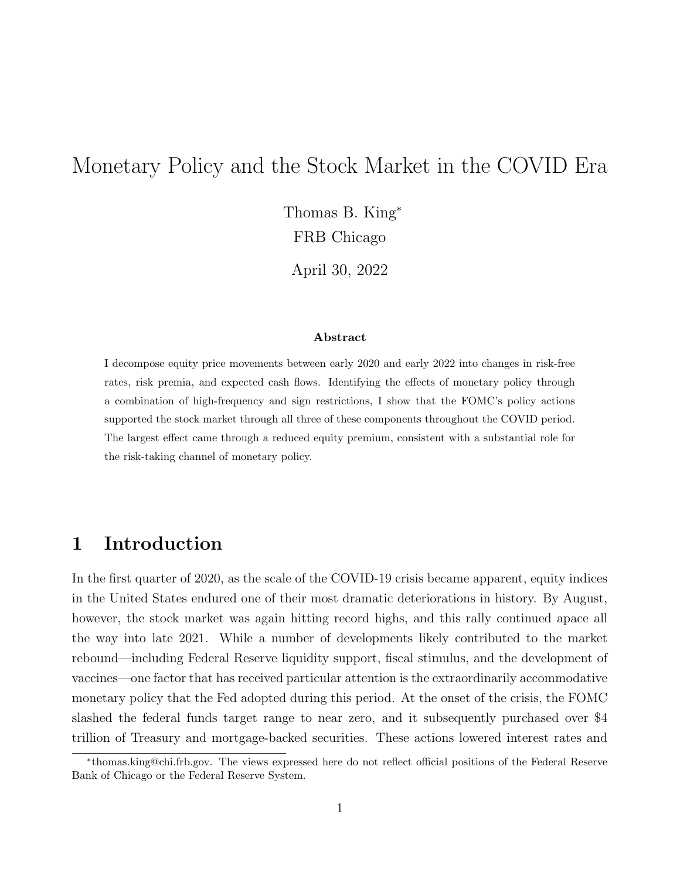# Monetary Policy and the Stock Market in the COVID Era

Thomas B. King<sup>∗</sup> FRB Chicago

April 30, 2022

#### Abstract

I decompose equity price movements between early 2020 and early 2022 into changes in risk-free rates, risk premia, and expected cash flows. Identifying the effects of monetary policy through a combination of high-frequency and sign restrictions, I show that the FOMC's policy actions supported the stock market through all three of these components throughout the COVID period. The largest effect came through a reduced equity premium, consistent with a substantial role for the risk-taking channel of monetary policy.

## 1 Introduction

In the first quarter of 2020, as the scale of the COVID-19 crisis became apparent, equity indices in the United States endured one of their most dramatic deteriorations in history. By August, however, the stock market was again hitting record highs, and this rally continued apace all the way into late 2021. While a number of developments likely contributed to the market rebound—including Federal Reserve liquidity support, fiscal stimulus, and the development of vaccines—one factor that has received particular attention is the extraordinarily accommodative monetary policy that the Fed adopted during this period. At the onset of the crisis, the FOMC slashed the federal funds target range to near zero, and it subsequently purchased over \$4 trillion of Treasury and mortgage-backed securities. These actions lowered interest rates and

<sup>∗</sup> thomas.king@chi.frb.gov. The views expressed here do not reflect official positions of the Federal Reserve Bank of Chicago or the Federal Reserve System.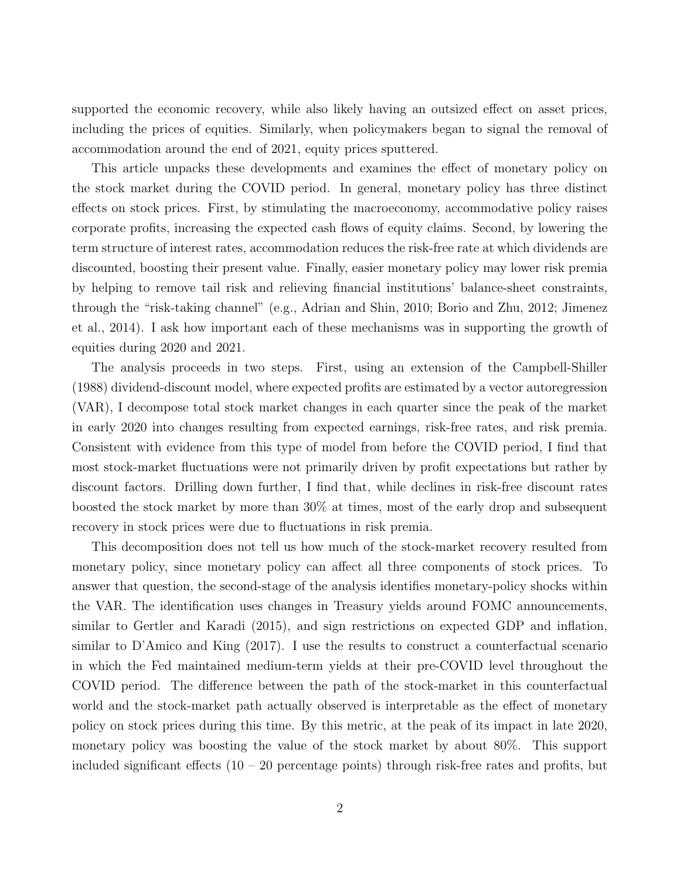supported the economic recovery, while also likely having an outsized effect on asset prices, including the prices of equities. Similarly, when policymakers began to signal the removal of accommodation around the end of 2021, equity prices sputtered.

This article unpacks these developments and examines the effect of monetary policy on the stock market during the COVID period. In general, monetary policy has three distinct effects on stock prices. First, by stimulating the macroeconomy, accommodative policy raises corporate profits, increasing the expected cash flows of equity claims. Second, by lowering the term structure of interest rates, accommodation reduces the risk-free rate at which dividends are discounted, boosting their present value. Finally, easier monetary policy may lower risk premia by helping to remove tail risk and relieving financial institutions' balance-sheet constraints, through the "risk-taking channel" (e.g., Adrian and Shin, 2010; Borio and Zhu, 2012; Jimenez et al., 2014). I ask how important each of these mechanisms was in supporting the growth of equities during 2020 and 2021.

The analysis proceeds in two steps. First, using an extension of the Campbell-Shiller (1988) dividend-discount model, where expected profits are estimated by a vector autoregression (VAR), I decompose total stock market changes in each quarter since the peak of the market in early 2020 into changes resulting from expected earnings, risk-free rates, and risk premia. Consistent with evidence from this type of model from before the COVID period, I find that most stock-market fluctuations were not primarily driven by profit expectations but rather by discount factors. Drilling down further, I find that, while declines in risk-free discount rates boosted the stock market by more than 30% at times, most of the early drop and subsequent recovery in stock prices were due to fluctuations in risk premia.

This decomposition does not tell us how much of the stock-market recovery resulted from monetary policy, since monetary policy can affect all three components of stock prices. To answer that question, the second-stage of the analysis identifies monetary-policy shocks within the VAR. The identification uses changes in Treasury yields around FOMC announcements, similar to Gertler and Karadi (2015), and sign restrictions on expected GDP and inflation, similar to D'Amico and King (2017). I use the results to construct a counterfactual scenario in which the Fed maintained medium-term yields at their pre-COVID level throughout the COVID period. The difference between the path of the stock-market in this counterfactual world and the stock-market path actually observed is interpretable as the effect of monetary policy on stock prices during this time. By this metric, at the peak of its impact in late 2020, monetary policy was boosting the value of the stock market by about 80%. This support included significant effects  $(10 - 20)$  percentage points) through risk-free rates and profits, but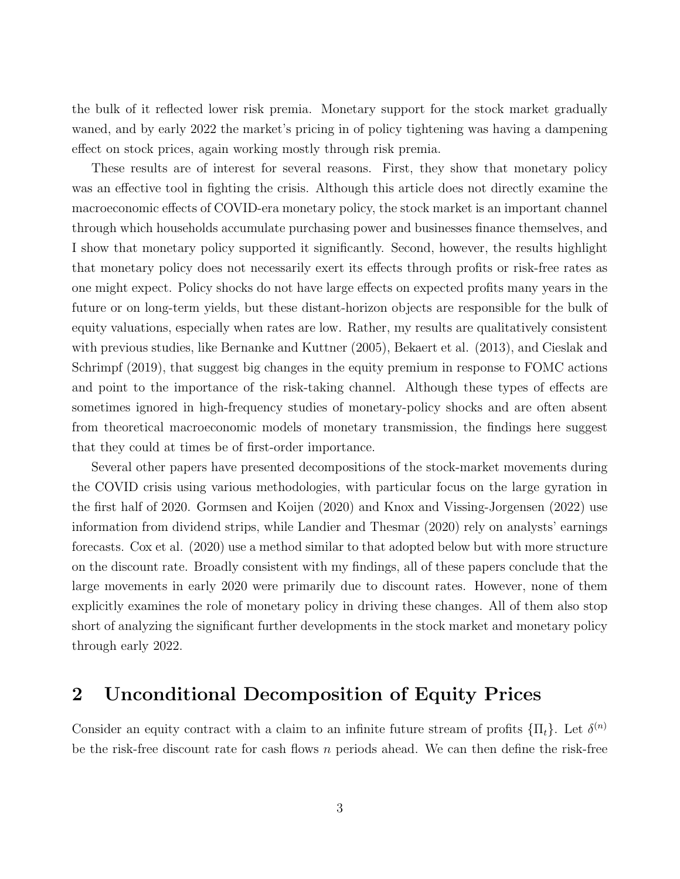the bulk of it reflected lower risk premia. Monetary support for the stock market gradually waned, and by early 2022 the market's pricing in of policy tightening was having a dampening effect on stock prices, again working mostly through risk premia.

These results are of interest for several reasons. First, they show that monetary policy was an effective tool in fighting the crisis. Although this article does not directly examine the macroeconomic effects of COVID-era monetary policy, the stock market is an important channel through which households accumulate purchasing power and businesses finance themselves, and I show that monetary policy supported it significantly. Second, however, the results highlight that monetary policy does not necessarily exert its effects through profits or risk-free rates as one might expect. Policy shocks do not have large effects on expected profits many years in the future or on long-term yields, but these distant-horizon objects are responsible for the bulk of equity valuations, especially when rates are low. Rather, my results are qualitatively consistent with previous studies, like Bernanke and Kuttner (2005), Bekaert et al. (2013), and Cieslak and Schrimpf (2019), that suggest big changes in the equity premium in response to FOMC actions and point to the importance of the risk-taking channel. Although these types of effects are sometimes ignored in high-frequency studies of monetary-policy shocks and are often absent from theoretical macroeconomic models of monetary transmission, the findings here suggest that they could at times be of first-order importance.

Several other papers have presented decompositions of the stock-market movements during the COVID crisis using various methodologies, with particular focus on the large gyration in the first half of 2020. Gormsen and Koijen (2020) and Knox and Vissing-Jorgensen (2022) use information from dividend strips, while Landier and Thesmar (2020) rely on analysts' earnings forecasts. Cox et al. (2020) use a method similar to that adopted below but with more structure on the discount rate. Broadly consistent with my findings, all of these papers conclude that the large movements in early 2020 were primarily due to discount rates. However, none of them explicitly examines the role of monetary policy in driving these changes. All of them also stop short of analyzing the significant further developments in the stock market and monetary policy through early 2022.

## 2 Unconditional Decomposition of Equity Prices

Consider an equity contract with a claim to an infinite future stream of profits  $\{\Pi_t\}$ . Let  $\delta^{(n)}$ be the risk-free discount rate for cash flows  $n$  periods ahead. We can then define the risk-free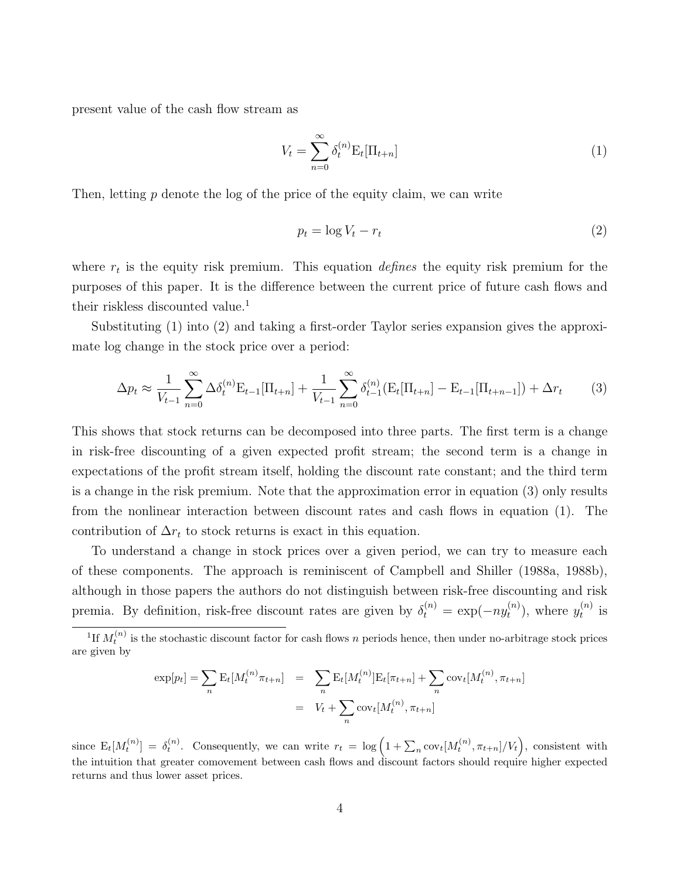present value of the cash flow stream as

$$
V_t = \sum_{n=0}^{\infty} \delta_t^{(n)} \mathcal{E}_t[\Pi_{t+n}] \tag{1}
$$

Then, letting  $p$  denote the log of the price of the equity claim, we can write

$$
p_t = \log V_t - r_t \tag{2}
$$

where  $r_t$  is the equity risk premium. This equation *defines* the equity risk premium for the purposes of this paper. It is the difference between the current price of future cash flows and their riskless discounted value.<sup>1</sup>

Substituting (1) into (2) and taking a first-order Taylor series expansion gives the approximate log change in the stock price over a period:

$$
\Delta p_t \approx \frac{1}{V_{t-1}} \sum_{n=0}^{\infty} \Delta \delta_t^{(n)} \mathbf{E}_{t-1} [\Pi_{t+n}] + \frac{1}{V_{t-1}} \sum_{n=0}^{\infty} \delta_{t-1}^{(n)} (\mathbf{E}_t [\Pi_{t+n}] - \mathbf{E}_{t-1} [\Pi_{t+n-1}]) + \Delta r_t \tag{3}
$$

This shows that stock returns can be decomposed into three parts. The first term is a change in risk-free discounting of a given expected profit stream; the second term is a change in expectations of the profit stream itself, holding the discount rate constant; and the third term is a change in the risk premium. Note that the approximation error in equation (3) only results from the nonlinear interaction between discount rates and cash flows in equation (1). The contribution of  $\Delta r_t$  to stock returns is exact in this equation.

To understand a change in stock prices over a given period, we can try to measure each of these components. The approach is reminiscent of Campbell and Shiller (1988a, 1988b), although in those papers the authors do not distinguish between risk-free discounting and risk premia. By definition, risk-free discount rates are given by  $\delta_t^{(n)} = \exp(-ny_t^{(n)})$  $t^{(n)}_t$ , where  $y_t^{(n)}$  $t^{(n)}$  is

$$
\exp[p_t] = \sum_{n} \mathcal{E}_t[M_t^{(n)} \pi_{t+n}] = \sum_{n} \mathcal{E}_t[M_t^{(n)}] \mathcal{E}_t[\pi_{t+n}] + \sum_{n} \text{cov}_t[M_t^{(n)}, \pi_{t+n}]
$$

$$
= V_t + \sum_{n} \text{cov}_t[M_t^{(n)}, \pi_{t+n}]
$$

since  $E_t[M_t^{(n)}] = \delta_t^{(n)}$ . Consequently, we can write  $r_t = \log \left(1 + \sum_n \text{cov}_t[M_t^{(n)}, \pi_{t+n}]/V_t\right)$ , consistent with the intuition that greater comovement between cash flows and discount factors should require higher expected returns and thus lower asset prices.

<sup>&</sup>lt;sup>1</sup>If  $M_t^{(n)}$  is the stochastic discount factor for cash flows n periods hence, then under no-arbitrage stock prices are given by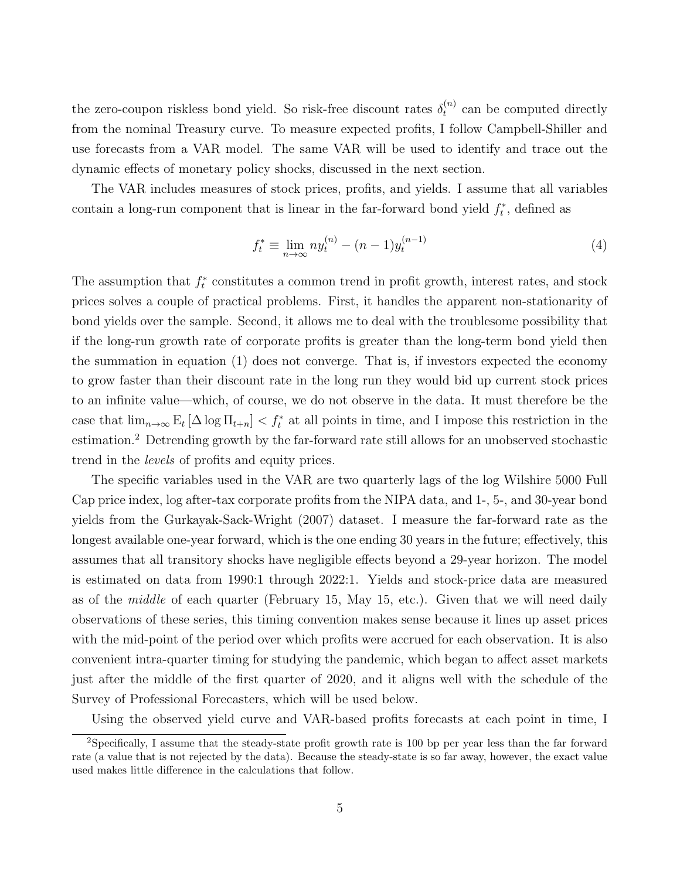the zero-coupon riskless bond yield. So risk-free discount rates  $\delta_t^{(n)}$  $t_t^{(n)}$  can be computed directly from the nominal Treasury curve. To measure expected profits, I follow Campbell-Shiller and use forecasts from a VAR model. The same VAR will be used to identify and trace out the dynamic effects of monetary policy shocks, discussed in the next section.

The VAR includes measures of stock prices, profits, and yields. I assume that all variables contain a long-run component that is linear in the far-forward bond yield  $f_t^*$ , defined as

$$
f_t^* \equiv \lim_{n \to \infty} n y_t^{(n)} - (n-1) y_t^{(n-1)}
$$
\n(4)

The assumption that  $f_t^*$  constitutes a common trend in profit growth, interest rates, and stock prices solves a couple of practical problems. First, it handles the apparent non-stationarity of bond yields over the sample. Second, it allows me to deal with the troublesome possibility that if the long-run growth rate of corporate profits is greater than the long-term bond yield then the summation in equation (1) does not converge. That is, if investors expected the economy to grow faster than their discount rate in the long run they would bid up current stock prices to an infinite value—which, of course, we do not observe in the data. It must therefore be the case that  $\lim_{n\to\infty} E_t[\Delta \log \Pi_{t+n}] < f_t^*$  at all points in time, and I impose this restriction in the estimation.<sup>2</sup> Detrending growth by the far-forward rate still allows for an unobserved stochastic trend in the levels of profits and equity prices.

The specific variables used in the VAR are two quarterly lags of the log Wilshire 5000 Full Cap price index, log after-tax corporate profits from the NIPA data, and 1-, 5-, and 30-year bond yields from the Gurkayak-Sack-Wright (2007) dataset. I measure the far-forward rate as the longest available one-year forward, which is the one ending 30 years in the future; effectively, this assumes that all transitory shocks have negligible effects beyond a 29-year horizon. The model is estimated on data from 1990:1 through 2022:1. Yields and stock-price data are measured as of the *middle* of each quarter (February 15, May 15, etc.). Given that we will need daily observations of these series, this timing convention makes sense because it lines up asset prices with the mid-point of the period over which profits were accrued for each observation. It is also convenient intra-quarter timing for studying the pandemic, which began to affect asset markets just after the middle of the first quarter of 2020, and it aligns well with the schedule of the Survey of Professional Forecasters, which will be used below.

Using the observed yield curve and VAR-based profits forecasts at each point in time, I

<sup>2</sup>Specifically, I assume that the steady-state profit growth rate is 100 bp per year less than the far forward rate (a value that is not rejected by the data). Because the steady-state is so far away, however, the exact value used makes little difference in the calculations that follow.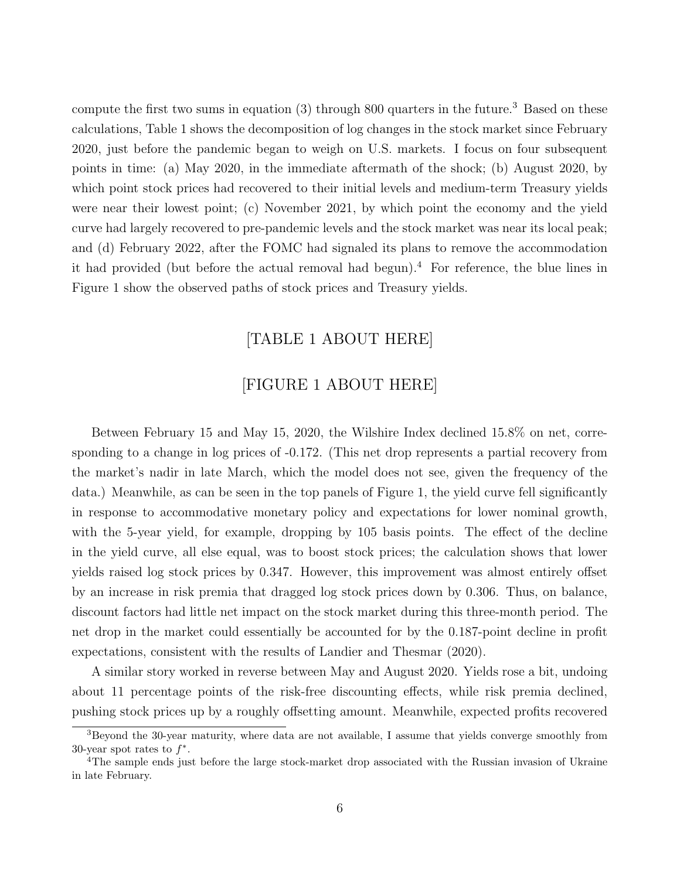compute the first two sums in equation  $(3)$  through 800 quarters in the future.<sup>3</sup> Based on these calculations, Table 1 shows the decomposition of log changes in the stock market since February 2020, just before the pandemic began to weigh on U.S. markets. I focus on four subsequent points in time: (a) May 2020, in the immediate aftermath of the shock; (b) August 2020, by which point stock prices had recovered to their initial levels and medium-term Treasury yields were near their lowest point; (c) November 2021, by which point the economy and the yield curve had largely recovered to pre-pandemic levels and the stock market was near its local peak; and (d) February 2022, after the FOMC had signaled its plans to remove the accommodation it had provided (but before the actual removal had begun).<sup>4</sup> For reference, the blue lines in Figure 1 show the observed paths of stock prices and Treasury yields.

### [TABLE 1 ABOUT HERE]

#### [FIGURE 1 ABOUT HERE]

Between February 15 and May 15, 2020, the Wilshire Index declined 15.8% on net, corresponding to a change in log prices of -0.172. (This net drop represents a partial recovery from the market's nadir in late March, which the model does not see, given the frequency of the data.) Meanwhile, as can be seen in the top panels of Figure 1, the yield curve fell significantly in response to accommodative monetary policy and expectations for lower nominal growth, with the 5-year yield, for example, dropping by 105 basis points. The effect of the decline in the yield curve, all else equal, was to boost stock prices; the calculation shows that lower yields raised log stock prices by 0.347. However, this improvement was almost entirely offset by an increase in risk premia that dragged log stock prices down by 0.306. Thus, on balance, discount factors had little net impact on the stock market during this three-month period. The net drop in the market could essentially be accounted for by the 0.187-point decline in profit expectations, consistent with the results of Landier and Thesmar (2020).

A similar story worked in reverse between May and August 2020. Yields rose a bit, undoing about 11 percentage points of the risk-free discounting effects, while risk premia declined, pushing stock prices up by a roughly offsetting amount. Meanwhile, expected profits recovered

 $3B$ eyond the 30-year maturity, where data are not available, I assume that yields converge smoothly from 30-year spot rates to  $f^*$ .

<sup>&</sup>lt;sup>4</sup>The sample ends just before the large stock-market drop associated with the Russian invasion of Ukraine in late February.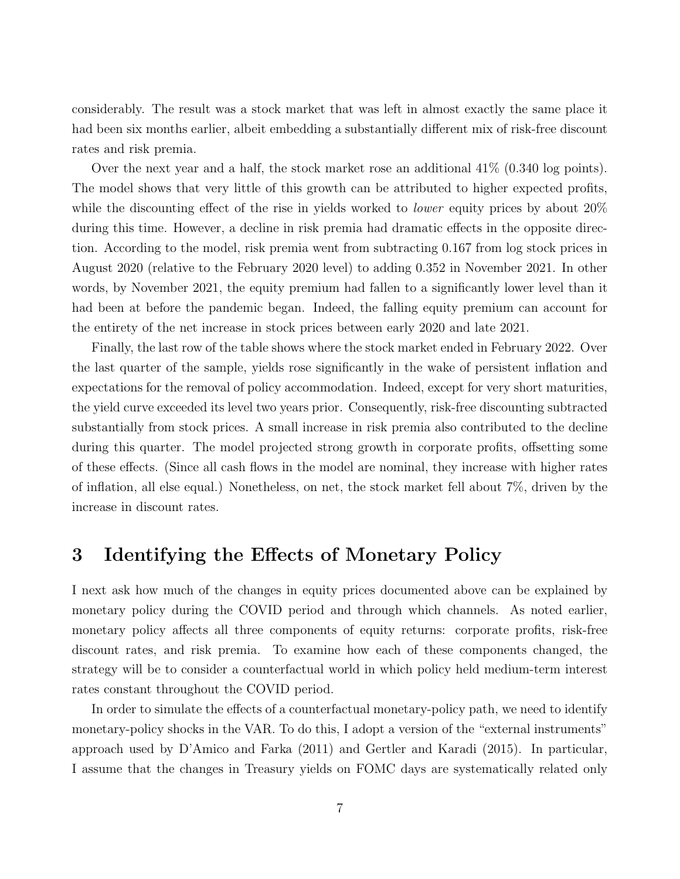considerably. The result was a stock market that was left in almost exactly the same place it had been six months earlier, albeit embedding a substantially different mix of risk-free discount rates and risk premia.

Over the next year and a half, the stock market rose an additional 41% (0.340 log points). The model shows that very little of this growth can be attributed to higher expected profits, while the discounting effect of the rise in yields worked to *lower* equity prices by about 20% during this time. However, a decline in risk premia had dramatic effects in the opposite direction. According to the model, risk premia went from subtracting 0.167 from log stock prices in August 2020 (relative to the February 2020 level) to adding 0.352 in November 2021. In other words, by November 2021, the equity premium had fallen to a significantly lower level than it had been at before the pandemic began. Indeed, the falling equity premium can account for the entirety of the net increase in stock prices between early 2020 and late 2021.

Finally, the last row of the table shows where the stock market ended in February 2022. Over the last quarter of the sample, yields rose significantly in the wake of persistent inflation and expectations for the removal of policy accommodation. Indeed, except for very short maturities, the yield curve exceeded its level two years prior. Consequently, risk-free discounting subtracted substantially from stock prices. A small increase in risk premia also contributed to the decline during this quarter. The model projected strong growth in corporate profits, offsetting some of these effects. (Since all cash flows in the model are nominal, they increase with higher rates of inflation, all else equal.) Nonetheless, on net, the stock market fell about 7%, driven by the increase in discount rates.

## 3 Identifying the Effects of Monetary Policy

I next ask how much of the changes in equity prices documented above can be explained by monetary policy during the COVID period and through which channels. As noted earlier, monetary policy affects all three components of equity returns: corporate profits, risk-free discount rates, and risk premia. To examine how each of these components changed, the strategy will be to consider a counterfactual world in which policy held medium-term interest rates constant throughout the COVID period.

In order to simulate the effects of a counterfactual monetary-policy path, we need to identify monetary-policy shocks in the VAR. To do this, I adopt a version of the "external instruments" approach used by D'Amico and Farka (2011) and Gertler and Karadi (2015). In particular, I assume that the changes in Treasury yields on FOMC days are systematically related only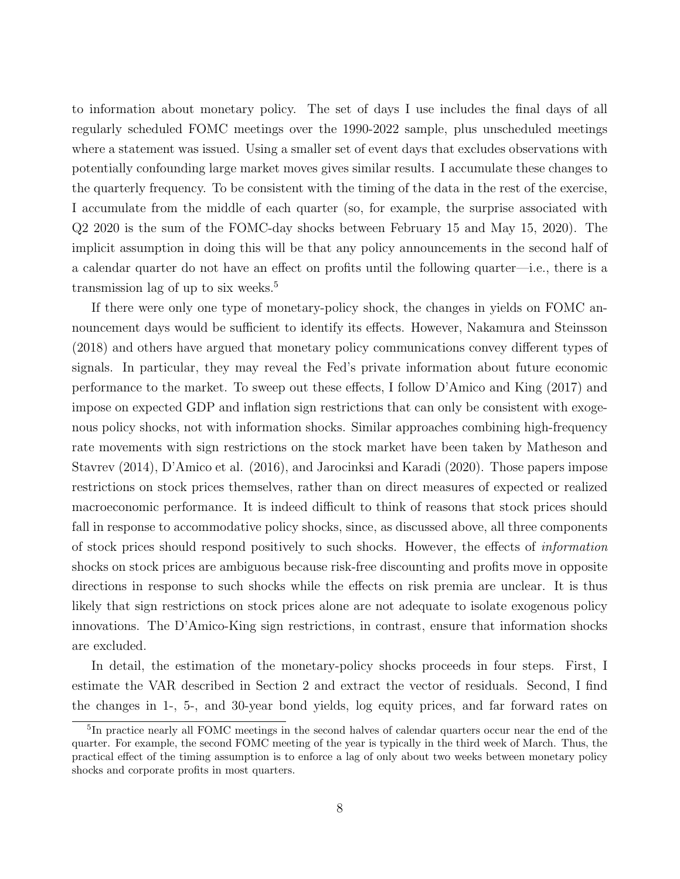to information about monetary policy. The set of days I use includes the final days of all regularly scheduled FOMC meetings over the 1990-2022 sample, plus unscheduled meetings where a statement was issued. Using a smaller set of event days that excludes observations with potentially confounding large market moves gives similar results. I accumulate these changes to the quarterly frequency. To be consistent with the timing of the data in the rest of the exercise, I accumulate from the middle of each quarter (so, for example, the surprise associated with Q2 2020 is the sum of the FOMC-day shocks between February 15 and May 15, 2020). The implicit assumption in doing this will be that any policy announcements in the second half of a calendar quarter do not have an effect on profits until the following quarter—i.e., there is a transmission lag of up to six weeks.<sup>5</sup>

If there were only one type of monetary-policy shock, the changes in yields on FOMC announcement days would be sufficient to identify its effects. However, Nakamura and Steinsson (2018) and others have argued that monetary policy communications convey different types of signals. In particular, they may reveal the Fed's private information about future economic performance to the market. To sweep out these effects, I follow D'Amico and King (2017) and impose on expected GDP and inflation sign restrictions that can only be consistent with exogenous policy shocks, not with information shocks. Similar approaches combining high-frequency rate movements with sign restrictions on the stock market have been taken by Matheson and Stavrev (2014), D'Amico et al. (2016), and Jarocinksi and Karadi (2020). Those papers impose restrictions on stock prices themselves, rather than on direct measures of expected or realized macroeconomic performance. It is indeed difficult to think of reasons that stock prices should fall in response to accommodative policy shocks, since, as discussed above, all three components of stock prices should respond positively to such shocks. However, the effects of *information* shocks on stock prices are ambiguous because risk-free discounting and profits move in opposite directions in response to such shocks while the effects on risk premia are unclear. It is thus likely that sign restrictions on stock prices alone are not adequate to isolate exogenous policy innovations. The D'Amico-King sign restrictions, in contrast, ensure that information shocks are excluded.

In detail, the estimation of the monetary-policy shocks proceeds in four steps. First, I estimate the VAR described in Section 2 and extract the vector of residuals. Second, I find the changes in 1-, 5-, and 30-year bond yields, log equity prices, and far forward rates on

<sup>5</sup> In practice nearly all FOMC meetings in the second halves of calendar quarters occur near the end of the quarter. For example, the second FOMC meeting of the year is typically in the third week of March. Thus, the practical effect of the timing assumption is to enforce a lag of only about two weeks between monetary policy shocks and corporate profits in most quarters.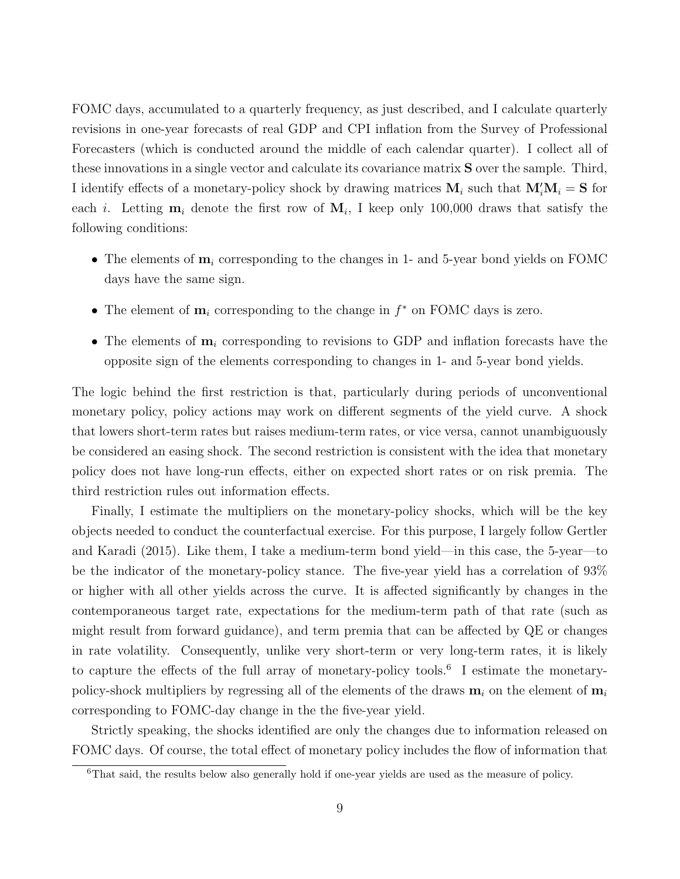FOMC days, accumulated to a quarterly frequency, as just described, and I calculate quarterly revisions in one-year forecasts of real GDP and CPI inflation from the Survey of Professional Forecasters (which is conducted around the middle of each calendar quarter). I collect all of these innovations in a single vector and calculate its covariance matrix **S** over the sample. Third, I identify effects of a monetary-policy shock by drawing matrices  $M_i$  such that  $M_i'M_i = S$  for each *i*. Letting  $\mathbf{m}_i$  denote the first row of  $\mathbf{M}_i$ , I keep only 100,000 draws that satisfy the following conditions:

- The elements of  $m_i$  corresponding to the changes in 1- and 5-year bond yields on FOMC days have the same sign.
- The element of  $\mathbf{m}_i$  corresponding to the change in  $f^*$  on FOMC days is zero.
- The elements of  $m_i$  corresponding to revisions to GDP and inflation forecasts have the opposite sign of the elements corresponding to changes in 1- and 5-year bond yields.

The logic behind the first restriction is that, particularly during periods of unconventional monetary policy, policy actions may work on different segments of the yield curve. A shock that lowers short-term rates but raises medium-term rates, or vice versa, cannot unambiguously be considered an easing shock. The second restriction is consistent with the idea that monetary policy does not have long-run effects, either on expected short rates or on risk premia. The third restriction rules out information effects.

Finally, I estimate the multipliers on the monetary-policy shocks, which will be the key objects needed to conduct the counterfactual exercise. For this purpose, I largely follow Gertler and Karadi (2015). Like them, I take a medium-term bond yield—in this case, the 5-year—to be the indicator of the monetary-policy stance. The five-year yield has a correlation of 93% or higher with all other yields across the curve. It is affected significantly by changes in the contemporaneous target rate, expectations for the medium-term path of that rate (such as might result from forward guidance), and term premia that can be affected by QE or changes in rate volatility. Consequently, unlike very short-term or very long-term rates, it is likely to capture the effects of the full array of monetary-policy tools.<sup>6</sup> I estimate the monetarypolicy-shock multipliers by regressing all of the elements of the draws  $m_i$  on the element of  $m_i$ corresponding to FOMC-day change in the the five-year yield.

Strictly speaking, the shocks identified are only the changes due to information released on FOMC days. Of course, the total effect of monetary policy includes the flow of information that

<sup>6</sup>That said, the results below also generally hold if one-year yields are used as the measure of policy.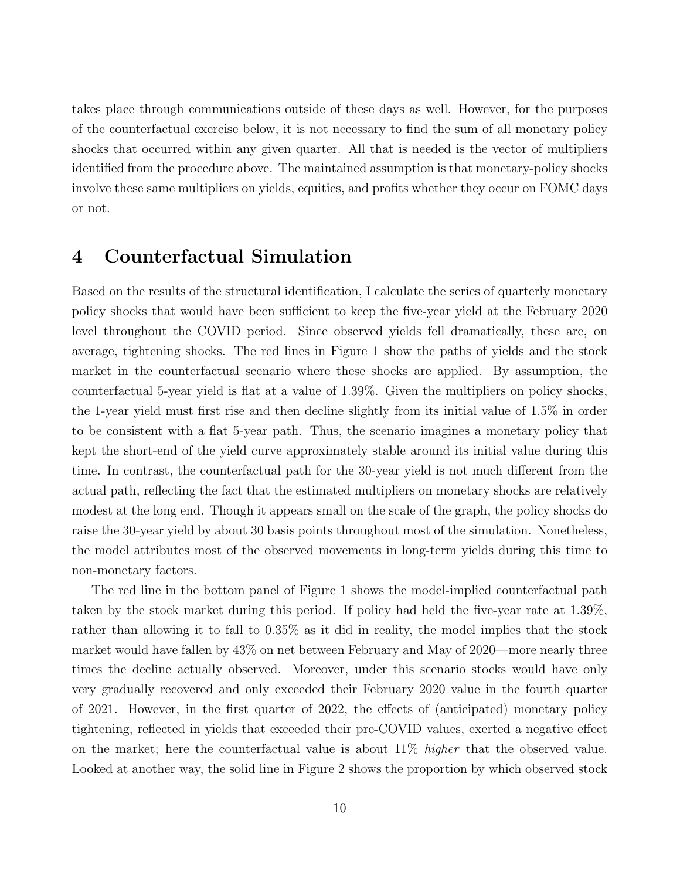takes place through communications outside of these days as well. However, for the purposes of the counterfactual exercise below, it is not necessary to find the sum of all monetary policy shocks that occurred within any given quarter. All that is needed is the vector of multipliers identified from the procedure above. The maintained assumption is that monetary-policy shocks involve these same multipliers on yields, equities, and profits whether they occur on FOMC days or not.

## 4 Counterfactual Simulation

Based on the results of the structural identification, I calculate the series of quarterly monetary policy shocks that would have been sufficient to keep the five-year yield at the February 2020 level throughout the COVID period. Since observed yields fell dramatically, these are, on average, tightening shocks. The red lines in Figure 1 show the paths of yields and the stock market in the counterfactual scenario where these shocks are applied. By assumption, the counterfactual 5-year yield is flat at a value of 1.39%. Given the multipliers on policy shocks, the 1-year yield must first rise and then decline slightly from its initial value of 1.5% in order to be consistent with a flat 5-year path. Thus, the scenario imagines a monetary policy that kept the short-end of the yield curve approximately stable around its initial value during this time. In contrast, the counterfactual path for the 30-year yield is not much different from the actual path, reflecting the fact that the estimated multipliers on monetary shocks are relatively modest at the long end. Though it appears small on the scale of the graph, the policy shocks do raise the 30-year yield by about 30 basis points throughout most of the simulation. Nonetheless, the model attributes most of the observed movements in long-term yields during this time to non-monetary factors.

The red line in the bottom panel of Figure 1 shows the model-implied counterfactual path taken by the stock market during this period. If policy had held the five-year rate at 1.39%, rather than allowing it to fall to 0.35% as it did in reality, the model implies that the stock market would have fallen by 43% on net between February and May of 2020—more nearly three times the decline actually observed. Moreover, under this scenario stocks would have only very gradually recovered and only exceeded their February 2020 value in the fourth quarter of 2021. However, in the first quarter of 2022, the effects of (anticipated) monetary policy tightening, reflected in yields that exceeded their pre-COVID values, exerted a negative effect on the market; here the counterfactual value is about  $11\%$  higher that the observed value. Looked at another way, the solid line in Figure 2 shows the proportion by which observed stock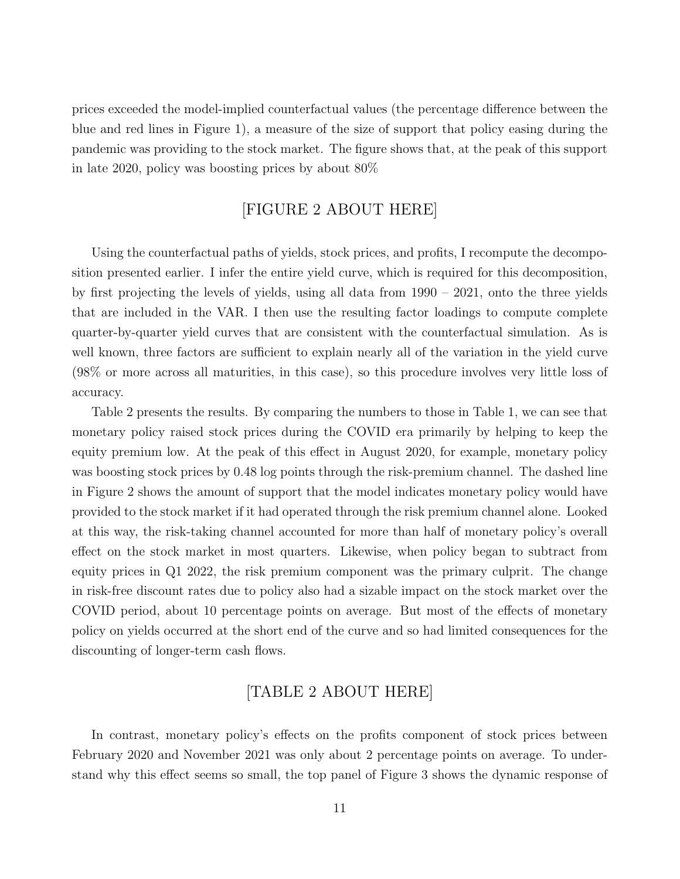prices exceeded the model-implied counterfactual values (the percentage difference between the blue and red lines in Figure 1), a measure of the size of support that policy easing during the pandemic was providing to the stock market. The figure shows that, at the peak of this support in late 2020, policy was boosting prices by about 80%

#### [FIGURE 2 ABOUT HERE]

Using the counterfactual paths of yields, stock prices, and profits, I recompute the decomposition presented earlier. I infer the entire yield curve, which is required for this decomposition, by first projecting the levels of yields, using all data from 1990 – 2021, onto the three yields that are included in the VAR. I then use the resulting factor loadings to compute complete quarter-by-quarter yield curves that are consistent with the counterfactual simulation. As is well known, three factors are sufficient to explain nearly all of the variation in the yield curve (98% or more across all maturities, in this case), so this procedure involves very little loss of accuracy.

Table 2 presents the results. By comparing the numbers to those in Table 1, we can see that monetary policy raised stock prices during the COVID era primarily by helping to keep the equity premium low. At the peak of this effect in August 2020, for example, monetary policy was boosting stock prices by 0.48 log points through the risk-premium channel. The dashed line in Figure 2 shows the amount of support that the model indicates monetary policy would have provided to the stock market if it had operated through the risk premium channel alone. Looked at this way, the risk-taking channel accounted for more than half of monetary policy's overall effect on the stock market in most quarters. Likewise, when policy began to subtract from equity prices in Q1 2022, the risk premium component was the primary culprit. The change in risk-free discount rates due to policy also had a sizable impact on the stock market over the COVID period, about 10 percentage points on average. But most of the effects of monetary policy on yields occurred at the short end of the curve and so had limited consequences for the discounting of longer-term cash flows.

#### [TABLE 2 ABOUT HERE]

In contrast, monetary policy's effects on the profits component of stock prices between February 2020 and November 2021 was only about 2 percentage points on average. To understand why this effect seems so small, the top panel of Figure 3 shows the dynamic response of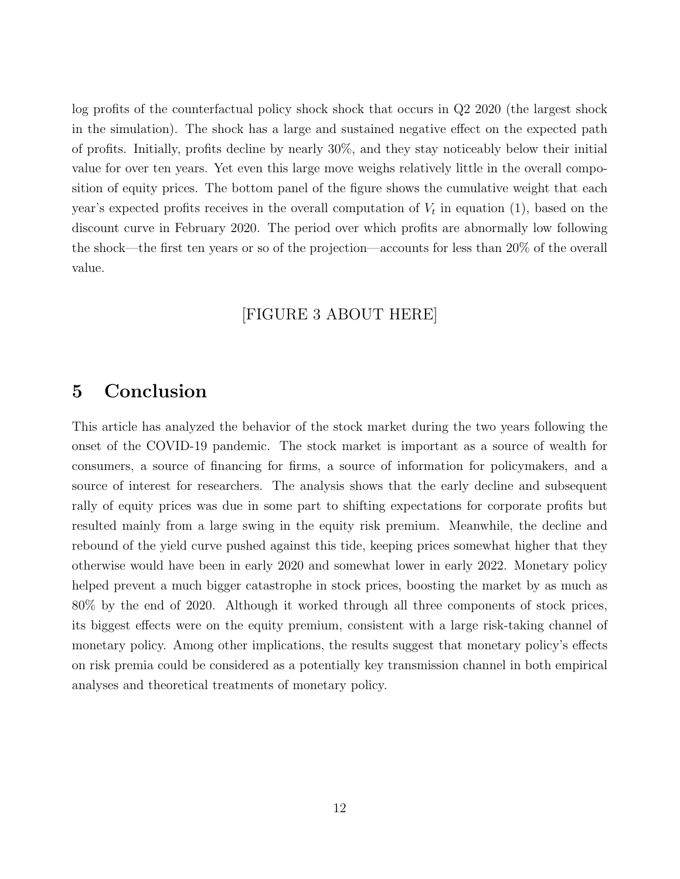log profits of the counterfactual policy shock shock that occurs in Q2 2020 (the largest shock in the simulation). The shock has a large and sustained negative effect on the expected path of profits. Initially, profits decline by nearly 30%, and they stay noticeably below their initial value for over ten years. Yet even this large move weighs relatively little in the overall composition of equity prices. The bottom panel of the figure shows the cumulative weight that each year's expected profits receives in the overall computation of  $V_t$  in equation (1), based on the discount curve in February 2020. The period over which profits are abnormally low following the shock—the first ten years or so of the projection—accounts for less than 20% of the overall value.

#### [FIGURE 3 ABOUT HERE]

## 5 Conclusion

This article has analyzed the behavior of the stock market during the two years following the onset of the COVID-19 pandemic. The stock market is important as a source of wealth for consumers, a source of financing for firms, a source of information for policymakers, and a source of interest for researchers. The analysis shows that the early decline and subsequent rally of equity prices was due in some part to shifting expectations for corporate profits but resulted mainly from a large swing in the equity risk premium. Meanwhile, the decline and rebound of the yield curve pushed against this tide, keeping prices somewhat higher that they otherwise would have been in early 2020 and somewhat lower in early 2022. Monetary policy helped prevent a much bigger catastrophe in stock prices, boosting the market by as much as 80% by the end of 2020. Although it worked through all three components of stock prices, its biggest effects were on the equity premium, consistent with a large risk-taking channel of monetary policy. Among other implications, the results suggest that monetary policy's effects on risk premia could be considered as a potentially key transmission channel in both empirical analyses and theoretical treatments of monetary policy.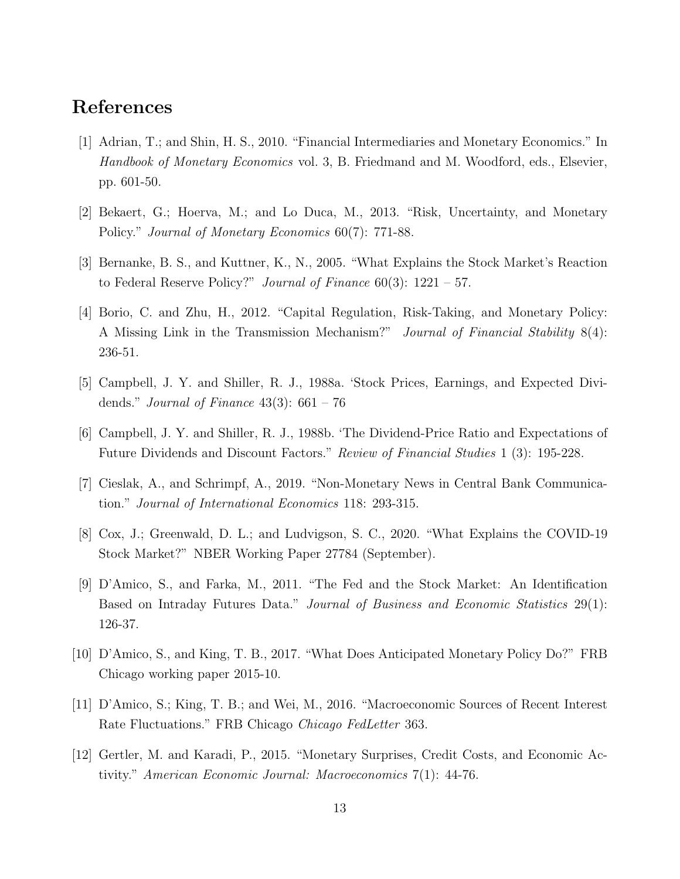## References

- [1] Adrian, T.; and Shin, H. S., 2010. "Financial Intermediaries and Monetary Economics." In Handbook of Monetary Economics vol. 3, B. Friedmand and M. Woodford, eds., Elsevier, pp. 601-50.
- [2] Bekaert, G.; Hoerva, M.; and Lo Duca, M., 2013. "Risk, Uncertainty, and Monetary Policy." Journal of Monetary Economics 60(7): 771-88.
- [3] Bernanke, B. S., and Kuttner, K., N., 2005. "What Explains the Stock Market's Reaction to Federal Reserve Policy?" Journal of Finance  $60(3)$ : 1221 – 57.
- [4] Borio, C. and Zhu, H., 2012. "Capital Regulation, Risk-Taking, and Monetary Policy: A Missing Link in the Transmission Mechanism?" Journal of Financial Stability 8(4): 236-51.
- [5] Campbell, J. Y. and Shiller, R. J., 1988a. 'Stock Prices, Earnings, and Expected Dividends." Journal of Finance  $43(3)$ :  $661 - 76$
- [6] Campbell, J. Y. and Shiller, R. J., 1988b. 'The Dividend-Price Ratio and Expectations of Future Dividends and Discount Factors." Review of Financial Studies 1 (3): 195-228.
- [7] Cieslak, A., and Schrimpf, A., 2019. "Non-Monetary News in Central Bank Communication." Journal of International Economics 118: 293-315.
- [8] Cox, J.; Greenwald, D. L.; and Ludvigson, S. C., 2020. "What Explains the COVID-19 Stock Market?" NBER Working Paper 27784 (September).
- [9] D'Amico, S., and Farka, M., 2011. "The Fed and the Stock Market: An Identification Based on Intraday Futures Data." Journal of Business and Economic Statistics 29(1): 126-37.
- [10] D'Amico, S., and King, T. B., 2017. "What Does Anticipated Monetary Policy Do?" FRB Chicago working paper 2015-10.
- [11] D'Amico, S.; King, T. B.; and Wei, M., 2016. "Macroeconomic Sources of Recent Interest Rate Fluctuations." FRB Chicago Chicago FedLetter 363.
- [12] Gertler, M. and Karadi, P., 2015. "Monetary Surprises, Credit Costs, and Economic Activity." American Economic Journal: Macroeconomics 7(1): 44-76.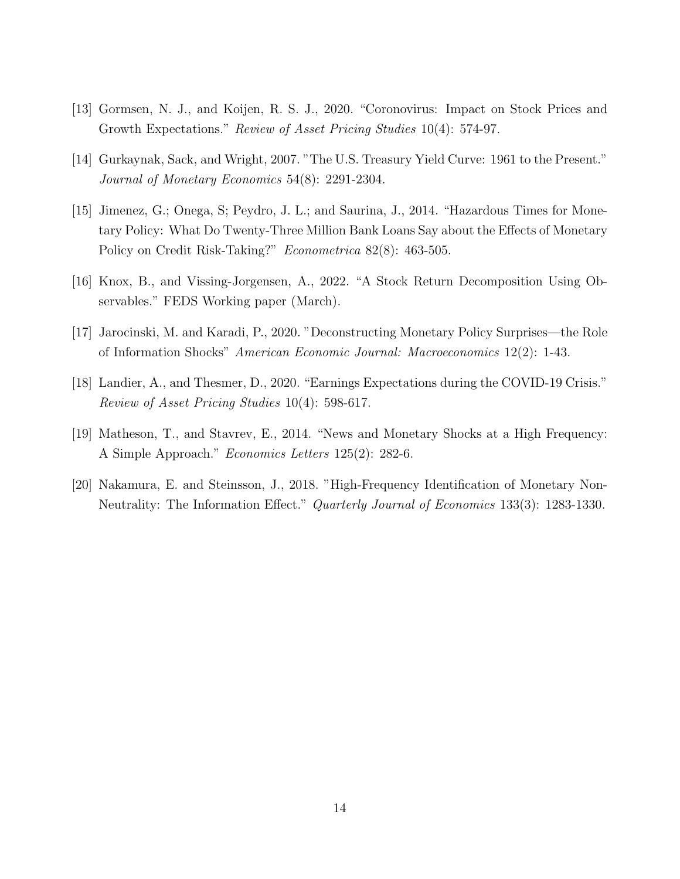- [13] Gormsen, N. J., and Koijen, R. S. J., 2020. "Coronovirus: Impact on Stock Prices and Growth Expectations." Review of Asset Pricing Studies 10(4): 574-97.
- [14] Gurkaynak, Sack, and Wright, 2007. "The U.S. Treasury Yield Curve: 1961 to the Present." Journal of Monetary Economics 54(8): 2291-2304.
- [15] Jimenez, G.; Onega, S; Peydro, J. L.; and Saurina, J., 2014. "Hazardous Times for Monetary Policy: What Do Twenty-Three Million Bank Loans Say about the Effects of Monetary Policy on Credit Risk-Taking?" Econometrica 82(8): 463-505.
- [16] Knox, B., and Vissing-Jorgensen, A., 2022. "A Stock Return Decomposition Using Observables." FEDS Working paper (March).
- [17] Jarocinski, M. and Karadi, P., 2020. "Deconstructing Monetary Policy Surprises—the Role of Information Shocks" American Economic Journal: Macroeconomics 12(2): 1-43.
- [18] Landier, A., and Thesmer, D., 2020. "Earnings Expectations during the COVID-19 Crisis." Review of Asset Pricing Studies 10(4): 598-617.
- [19] Matheson, T., and Stavrev, E., 2014. "News and Monetary Shocks at a High Frequency: A Simple Approach." Economics Letters 125(2): 282-6.
- [20] Nakamura, E. and Steinsson, J., 2018. "High-Frequency Identification of Monetary Non-Neutrality: The Information Effect." Quarterly Journal of Economics 133(3): 1283-1330.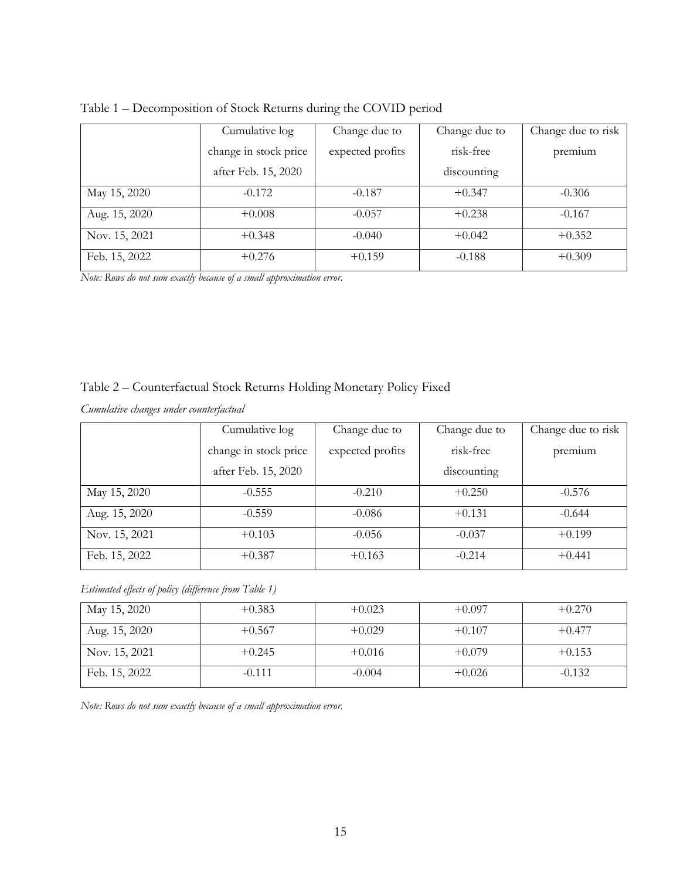|               | Cumulative log        | Change due to    | Change due to | Change due to risk |
|---------------|-----------------------|------------------|---------------|--------------------|
|               | change in stock price | expected profits | risk-free     | premium            |
|               | after Feb. 15, 2020   |                  | discounting   |                    |
| May 15, 2020  | $-0.172$              | $-0.187$         | $+0.347$      | $-0.306$           |
| Aug. 15, 2020 | $+0.008$              | $-0.057$         | $+0.238$      | $-0.167$           |
| Nov. 15, 2021 | $+0.348$              | $-0.040$         | $+0.042$      | $+0.352$           |
| Feb. 15, 2022 | $+0.276$              | $+0.159$         | $-0.188$      | $+0.309$           |

Table 1 – Decomposition of Stock Returns during the COVID period

*Note: Rows do not sum exactly because of a small approximation error.*

#### Table 2 – Counterfactual Stock Returns Holding Monetary Policy Fixed

*Cumulative changes under counterfactual*

|               | Cumulative log        | Change due to    | Change due to | Change due to risk |
|---------------|-----------------------|------------------|---------------|--------------------|
|               | change in stock price | expected profits | risk-free     | premium            |
|               | after Feb. 15, 2020   |                  | discounting   |                    |
| May 15, 2020  | $-0.555$              | $-0.210$         | $+0.250$      | $-0.576$           |
| Aug. 15, 2020 | $-0.559$              | $-0.086$         | $+0.131$      | $-0.644$           |
| Nov. 15, 2021 | $+0.103$              | $-0.056$         | $-0.037$      | $+0.199$           |
| Feb. 15, 2022 | $+0.387$              | $+0.163$         | $-0.214$      | $+0.441$           |

*Estimated effects of policy (difference from Table 1)*

| May 15, 2020  | $+0.383$ | $+0.023$ | $+0.097$ | $+0.270$ |
|---------------|----------|----------|----------|----------|
| Aug. 15, 2020 | $+0.567$ | $+0.029$ | $+0.107$ | $+0.477$ |
| Nov. 15, 2021 | $+0.245$ | $+0.016$ | $+0.079$ | $+0.153$ |
| Feb. 15, 2022 | $-0.111$ | $-0.004$ | $+0.026$ | $-0.132$ |

*Note: Rows do not sum exactly because of a small approximation error.*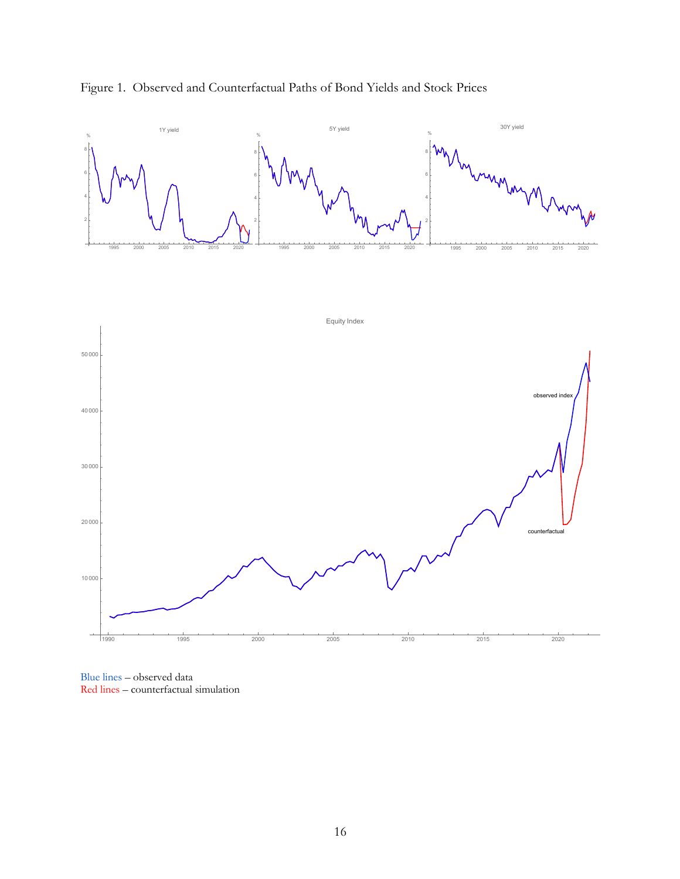

#### Figure 1. Observed and Counterfactual Paths of Bond Yields and Stock Prices

Blue lines – observed data Red lines – counterfactual simulation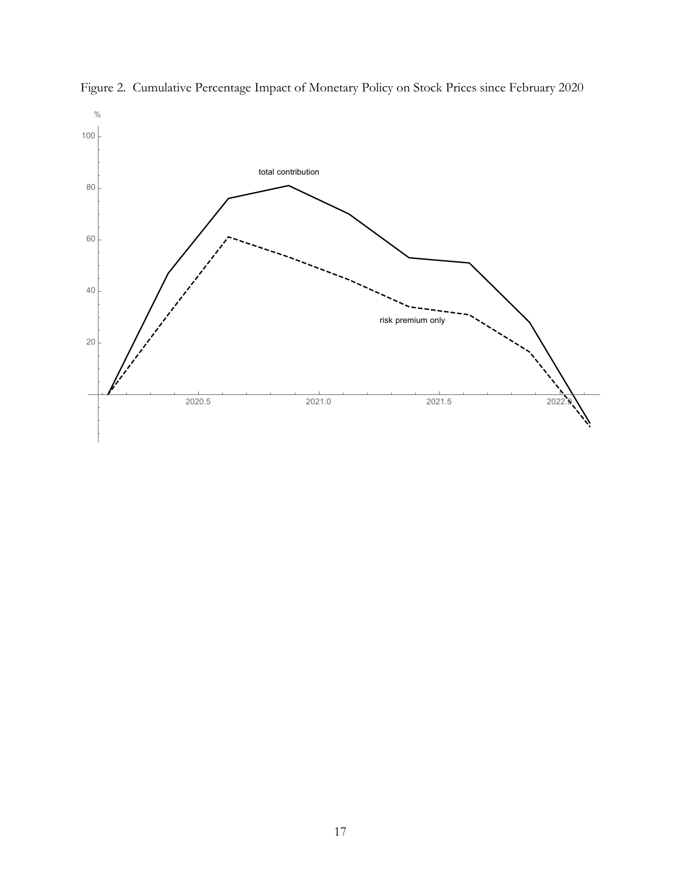

Figure 2. Cumulative Percentage Impact of Monetary Policy on Stock Prices since February 2020